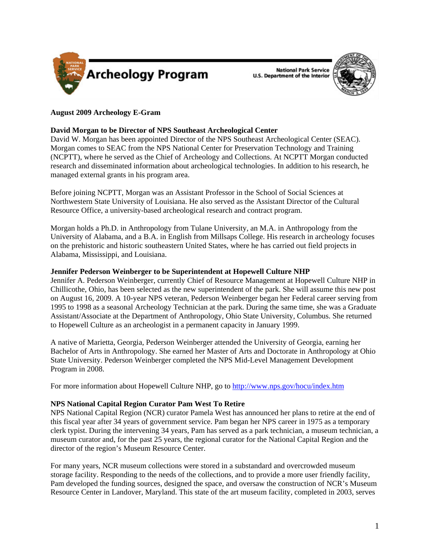

**National Park Service U.S. Department of the Interior** 



## **August 2009 Archeology E-Gram**

## **David Morgan to be Director of NPS Southeast Archeological Center**

David W. Morgan has been appointed Director of the NPS Southeast Archeological Center (SEAC). Morgan comes to SEAC from the NPS National Center for Preservation Technology and Training (NCPTT), where he served as the Chief of Archeology and Collections. At NCPTT Morgan conducted research and disseminated information about archeological technologies. In addition to his research, he managed external grants in his program area.

Before joining NCPTT, Morgan was an Assistant Professor in the School of Social Sciences at Northwestern State University of Louisiana. He also served as the Assistant Director of the Cultural Resource Office, a university-based archeological research and contract program.

Morgan holds a Ph.D. in Anthropology from Tulane University, an M.A. in Anthropology from the University of Alabama, and a B.A. in English from Millsaps College. His research in archeology focuses on the prehistoric and historic southeastern United States, where he has carried out field projects in Alabama, Mississippi, and Louisiana.

### **Jennifer Pederson Weinberger to be Superintendent at Hopewell Culture NHP**

Jennifer A. Pederson Weinberger, currently Chief of Resource Management at Hopewell Culture NHP in Chillicothe, Ohio, has been selected as the new superintendent of the park. She will assume this new post on August 16, 2009. A 10-year NPS veteran, Pederson Weinberger began her Federal career serving from 1995 to 1998 as a seasonal Archeology Technician at the park. During the same time, she was a Graduate Assistant/Associate at the Department of Anthropology, Ohio State University, Columbus. She returned to Hopewell Culture as an archeologist in a permanent capacity in January 1999.

A native of Marietta, Georgia, Pederson Weinberger attended the University of Georgia, earning her Bachelor of Arts in Anthropology. She earned her Master of Arts and Doctorate in Anthropology at Ohio State University. Pederson Weinberger completed the NPS Mid-Level Management Development Program in 2008.

For more information about Hopewell Culture NHP, go to http://www.nps.gov/hocu/index.htm

### **NPS National Capital Region Curator Pam West To Retire**

NPS National Capital Region (NCR) curator Pamela West has announced her plans to retire at the end of this fiscal year after 34 years of government service. Pam began her NPS career in 1975 as a temporary clerk typist. During the intervening 34 years, Pam has served as a park technician, a museum technician, a museum curator and, for the past 25 years, the regional curator for the National Capital Region and the director of the region's Museum Resource Center.

For many years, NCR museum collections were stored in a substandard and overcrowded museum storage facility. Responding to the needs of the collections, and to provide a more user friendly facility, Pam developed the funding sources, designed the space, and oversaw the construction of NCR's Museum Resource Center in Landover, Maryland. This state of the art museum facility, completed in 2003, serves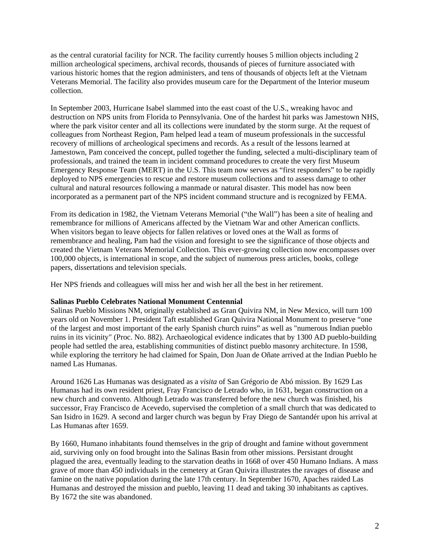as the central curatorial facility for NCR. The facility currently houses 5 million objects including 2 million archeological specimens, archival records, thousands of pieces of furniture associated with various historic homes that the region administers, and tens of thousands of objects left at the Vietnam Veterans Memorial. The facility also provides museum care for the Department of the Interior museum collection.

In September 2003, Hurricane Isabel slammed into the east coast of the U.S., wreaking havoc and destruction on NPS units from Florida to Pennsylvania. One of the hardest hit parks was Jamestown NHS, where the park visitor center and all its collections were inundated by the storm surge. At the request of colleagues from Northeast Region, Pam helped lead a team of museum professionals in the successful recovery of millions of archeological specimens and records. As a result of the lessons learned at Jamestown, Pam conceived the concept, pulled together the funding, selected a multi-disciplinary team of professionals, and trained the team in incident command procedures to create the very first Museum Emergency Response Team (MERT) in the U.S. This team now serves as "first responders" to be rapidly deployed to NPS emergencies to rescue and restore museum collections and to assess damage to other cultural and natural resources following a manmade or natural disaster. This model has now been incorporated as a permanent part of the NPS incident command structure and is recognized by FEMA.

From its dedication in 1982, the Vietnam Veterans Memorial ("the Wall") has been a site of healing and remembrance for millions of Americans affected by the Vietnam War and other American conflicts. When visitors began to leave objects for fallen relatives or loved ones at the Wall as forms of remembrance and healing, Pam had the vision and foresight to see the significance of those objects and created the Vietnam Veterans Memorial Collection. This ever-growing collection now encompasses over 100,000 objects, is international in scope, and the subject of numerous press articles, books, college papers, dissertations and television specials.

Her NPS friends and colleagues will miss her and wish her all the best in her retirement.

### **Salinas Pueblo Celebrates National Monument Centennial**

Salinas Pueblo Missions NM, originally established as Gran Quivira NM, in New Mexico, will turn 100 years old on November 1. President Taft established Gran Quivira National Monument to preserve "one of the largest and most important of the early Spanish church ruins" as well as "numerous Indian pueblo ruins in its vicinity" (Proc. No. 882). Archaeological evidence indicates that by 1300 AD pueblo-building people had settled the area, establishing communities of distinct pueblo masonry architecture. In 1598, while exploring the territory he had claimed for Spain, Don Juan de Oñate arrived at the Indian Pueblo he named Las Humanas.

Around 1626 Las Humanas was designated as a *visita* of San Grégorio de Abó mission. By 1629 Las Humanas had its own resident priest, Fray Francisco de Letrado who, in 1631, began construction on a new church and convento. Although Letrado was transferred before the new church was finished, his successor, Fray Francisco de Acevedo, supervised the completion of a small church that was dedicated to San Isidro in 1629. A second and larger church was begun by Fray Diego de Santandér upon his arrival at Las Humanas after 1659.

By 1660, Humano inhabitants found themselves in the grip of drought and famine without government aid, surviving only on food brought into the Salinas Basin from other missions. Persistant drought plagued the area, eventually leading to the starvation deaths in 1668 of over 450 Humano Indians. A mass grave of more than 450 individuals in the cemetery at Gran Quivira illustrates the ravages of disease and famine on the native population during the late 17th century. In September 1670, Apaches raided Las Humanas and destroyed the mission and pueblo, leaving 11 dead and taking 30 inhabitants as captives. By 1672 the site was abandoned.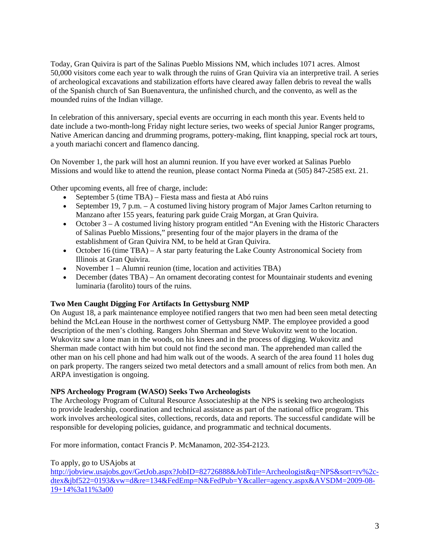Today, Gran Quivira is part of the Salinas Pueblo Missions NM, which includes 1071 acres. Almost 50,000 visitors come each year to walk through the ruins of Gran Quivira via an interpretive trail. A series of archeological excavations and stabilization efforts have cleared away fallen debris to reveal the walls of the Spanish church of San Buenaventura, the unfinished church, and the convento, as well as the mounded ruins of the Indian village.

In celebration of this anniversary, special events are occurring in each month this year. Events held to date include a two-month-long Friday night lecture series, two weeks of special Junior Ranger programs, Native American dancing and drumming programs, pottery-making, flint knapping, special rock art tours, a youth mariachi concert and flamenco dancing.

On November 1, the park will host an alumni reunion. If you have ever worked at Salinas Pueblo Missions and would like to attend the reunion, please contact Norma Pineda at (505) 847-2585 ext. 21.

Other upcoming events, all free of charge, include:

- September 5 (time TBA) Fiesta mass and fiesta at Abó ruins
- September 19, 7 p.m. A costumed living history program of Major James Carlton returning to Manzano after 155 years, featuring park guide Craig Morgan, at Gran Quivira.
- October 3 A costumed living history program entitled "An Evening with the Historic Characters" of Salinas Pueblo Missions," presenting four of the major players in the drama of the establishment of Gran Quivira NM, to be held at Gran Quivira.
- October 16 (time TBA) A star party featuring the Lake County Astronomical Society from Illinois at Gran Quivira.
- November 1 Alumni reunion (time, location and activities TBA)
- December (dates TBA) An ornament decorating contest for Mountainair students and evening luminaria (farolito) tours of the ruins.

# **Two Men Caught Digging For Artifacts In Gettysburg NMP**

On August 18, a park maintenance employee notified rangers that two men had been seen metal detecting behind the McLean House in the northwest corner of Gettysburg NMP. The employee provided a good description of the men's clothing. Rangers John Sherman and Steve Wukovitz went to the location. Wukovitz saw a lone man in the woods, on his knees and in the process of digging. Wukovitz and Sherman made contact with him but could not find the second man. The apprehended man called the other man on his cell phone and had him walk out of the woods. A search of the area found 11 holes dug on park property. The rangers seized two metal detectors and a small amount of relics from both men. An ARPA investigation is ongoing.

### **NPS Archeology Program (WASO) Seeks Two Archeologists**

The Archeology Program of Cultural Resource Associateship at the NPS is seeking two archeologists to provide leadership, coordination and technical assistance as part of the national office program. This work involves archeological sites, collections, records, data and reports. The successful candidate will be responsible for developing policies, guidance, and programmatic and technical documents.

For more information, contact Francis P. McManamon, 202-354-2123.

## To apply, go to USAjobs at

http://jobview.usajobs.gov/GetJob.aspx?JobID=82726888&JobTitle=Archeologist&q=NPS&sort=rv%2cdtex&jbf522=0193&vw=d&re=134&FedEmp=N&FedPub=Y&caller=agency.aspx&AVSDM=2009-08- 19+14%3a11%3a00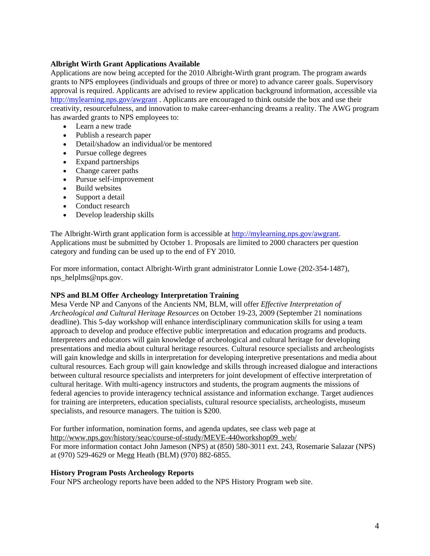## **Albright Wirth Grant Applications Available**

Applications are now being accepted for the 2010 Albright-Wirth grant program. The program awards grants to NPS employees (individuals and groups of three or more) to advance career goals. Supervisory approval is required. Applicants are advised to review application background information, accessible via http://mylearning.nps.gov/awgrant . Applicants are encouraged to think outside the box and use their creativity, resourcefulness, and innovation to make career-enhancing dreams a reality. The AWG program has awarded grants to NPS employees to:

- Learn a new trade
- Publish a research paper
- Detail/shadow an individual/or be mentored
- Pursue college degrees
- Expand partnerships
- Change career paths
- Pursue self-improvement
- Build websites
- Support a detail
- Conduct research
- Develop leadership skills

The Albright-Wirth grant application form is accessible at http://mylearning.nps.gov/awgrant. Applications must be submitted by October 1. Proposals are limited to 2000 characters per question category and funding can be used up to the end of FY 2010.

For more information, contact Albright-Wirth grant administrator Lonnie Lowe (202-354-1487), nps helplms@nps.gov.

# **NPS and BLM Offer Archeology Interpretation Training**

Mesa Verde NP and Canyons of the Ancients NM, BLM, will offer *Effective Interpretation of Archeological and Cultural Heritage Resources* on October 19-23, 2009 (September 21 nominations deadline). This 5-day workshop will enhance interdisciplinary communication skills for using a team approach to develop and produce effective public interpretation and education programs and products. Interpreters and educators will gain knowledge of archeological and cultural heritage for developing presentations and media about cultural heritage resources. Cultural resource specialists and archeologists will gain knowledge and skills in interpretation for developing interpretive presentations and media about cultural resources. Each group will gain knowledge and skills through increased dialogue and interactions between cultural resource specialists and interpreters for joint development of effective interpretation of cultural heritage. With multi-agency instructors and students, the program augments the missions of federal agencies to provide interagency technical assistance and information exchange. Target audiences for training are interpreters, education specialists, cultural resource specialists, archeologists, museum specialists, and resource managers. The tuition is \$200.

For further information, nomination forms, and agenda updates, see class web page at http://www.nps.gov/history/seac/course-of-study/MEVE-440workshop09\_web/ For more information contact John Jameson (NPS) at (850) 580-3011 ext. 243, Rosemarie Salazar (NPS) at (970) 529-4629 or Megg Heath (BLM) (970) 882-6855.

### **History Program Posts Archeology Reports**

Four NPS archeology reports have been added to the NPS History Program web site.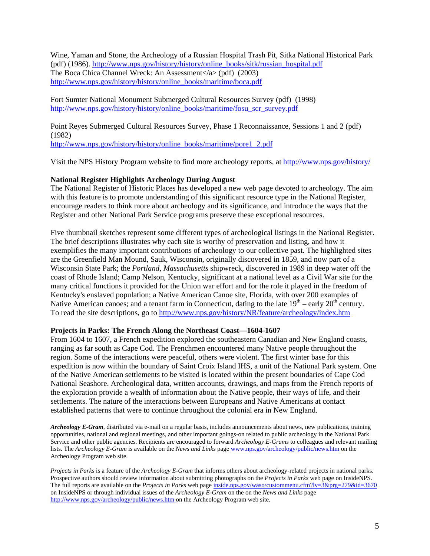Wine, Yaman and Stone, the Archeology of a Russian Hospital Trash Pit, Sitka National Historical Park (pdf) (1986). http://www.nps.gov/history/history/online\_books/sitk/russian\_hospital.pdf The Boca Chica Channel Wreck: An Assessment $\langle a \rangle$  (pdf) (2003) http://www.nps.gov/history/history/online\_books/maritime/boca.pdf

Fort Sumter National Monument Submerged Cultural Resources Survey (pdf) (1998) http://www.nps.gov/history/history/online\_books/maritime/fosu\_scr\_survey.pdf

Point Reyes Submerged Cultural Resources Survey, Phase 1 Reconnaissance, Sessions 1 and 2 (pdf) (1982)

http://www.nps.gov/history/history/online\_books/maritime/pore1\_2.pdf

Visit the NPS History Program website to find more archeology reports, at http://www.nps.gov/history/

# **National Register Highlights Archeology During August**

The National Register of Historic Places has developed a new web page devoted to archeology. The aim with this feature is to promote understanding of this significant resource type in the National Register, encourage readers to think more about archeology and its significance, and introduce the ways that the Register and other National Park Service programs preserve these exceptional resources.

Five thumbnail sketches represent some different types of archeological listings in the National Register. The brief descriptions illustrates why each site is worthy of preservation and listing, and how it exemplifies the many important contributions of archeology to our collective past. The highlighted sites are the Greenfield Man Mound, Sauk, Wisconsin, originally discovered in 1859, and now part of a Wisconsin State Park; the *Portland, Massachusetts* shipwreck, discovered in 1989 in deep water off the coast of Rhode Island; Camp Nelson, Kentucky, significant at a national level as a Civil War site for the many critical functions it provided for the Union war effort and for the role it played in the freedom of Kentucky's enslaved population; a Native American Canoe site, Florida, with over 200 examples of Native American canoes; and a tenant farm in Connecticut, dating to the late  $19<sup>th</sup>$  – early  $20<sup>th</sup>$  century. To read the site descriptions, go to http://www.nps.gov/history/NR/feature/archeology/index.htm

### **Projects in Parks: The French Along the Northeast Coast—1604-1607**

From 1604 to 1607, a French expedition explored the southeastern Canadian and New England coasts, ranging as far south as Cape Cod. The Frenchmen encountered many Native people throughout the region. Some of the interactions were peaceful, others were violent. The first winter base for this expedition is now within the boundary of Saint Croix Island IHS, a unit of the National Park system. One of the Native American settlements to be visited is located within the present boundaries of Cape Cod National Seashore. Archeological data, written accounts, drawings, and maps from the French reports of the exploration provide a wealth of information about the Native people, their ways of life, and their settlements. The nature of the interactions between Europeans and Native Americans at contact established patterns that were to continue throughout the colonial era in New England.

*Archeology E-Gram*, distributed via e-mail on a regular basis, includes announcements about news, new publications, training opportunities, national and regional meetings, and other important goings-on related to public archeology in the National Park Service and other public agencies. Recipients are encouraged to forward *Archeology E-Grams* to colleagues and relevant mailing lists. The *Archeology E-Gram* is available on the *News and Links* page www.nps.gov/archeology/public/news.htm on the Archeology Program web site.

*Projects in Parks* is a feature of the *Archeology E-Gram* that informs others about archeology-related projects in national parks. Prospective authors should review information about submitting photographs on the *Projects in Parks* web page on InsideNPS. The full reports are available on the *Projects in Parks* web page inside.nps.gov/waso/custommenu.cfm?lv=3&prg=279&id=3670 on InsideNPS or through individual issues of the *Archeology E-Gram* on the on the *News and Links* page http://www.nps.gov/archeology/public/news.htm on the Archeology Program web site.